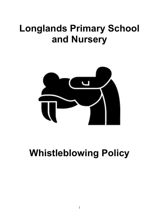# **Longlands Primary School and Nursery**



# **Whistleblowing Policy**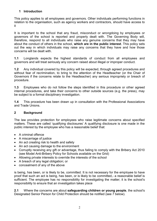# **1 Introduction**

This policy applies to all employees and governors. Other individuals performing functions in relation to the organisation, such as agency workers and contractors, should have access to it

It is important to the school that any fraud, misconduct or wrongdoing by employees or governors of the school is reported and properly dealt with. The Governing Body will, therefore, respond to all individuals who raise any genuine concerns that they may have about the conduct of others in the school, **which are in the public interest**. This policy sets out the way in which individuals may raise any concerns that they have and how those concerns will be dealt with.

**1.1** Longlands expects the highest standards of conduct from all employees and governors and will treat seriously any concern raised about illegal or improper conduct.

**1.2** Any individual covered by this policy will be expected, through agreed procedures and without fear of recrimination, to bring to the attention of the Headteacher (or the Chair of Governors if the concerns relate to the Headteacher) any serious impropriety or breach of procedure.

**1.3** Employees who do not follow the steps identified in this procedure or other agreed internal procedures, and take their concerns to other outside sources (e.g. the press), may be subject to a formal disciplinary investigation.

**1.4** This procedure has been drawn up in consultation with the Professional Associations and Trade Unions.

# **2 Background**

The law provides protection for employees who raise legitimate concerns about specified matters. These are called 'qualifying disclosures' A qualifying disclosure is one made in the public interest by the employee who has a reasonable belief that:

- A criminal offence
- A miscarriage of justice
- An act creating risk to health and safety
- An act causing damage to the environment
- Corruptly receiving any gift or advantage, thus failing to comply with the Bribery Act 2010 (see Model Anti-Bribery Policy for Schools available on the Grid)
- Allowing private interests to override the interests of the school
- A breach of any legal obligation; or
- concealment of any of the above

is being, has been, or is likely to be, committed. It is not necessary for the employee to have proof that such an act is being, has been, or is likely to be committed,- a reasonable belief is sufficient. The employee has no responsibility for investigating the matter; it is the school's responsibility to ensure that an investigation takes place

**2.1** Where the concerns are about **safeguarding children or young people**, the school's Designated Senior Person for Child Protection should be notified (see 7 below).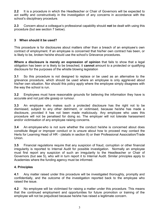**2.2** It is a procedure in which the Headteacher or Chair of Governors will be expected to act swiftly and constructively in the investigation of any concerns in accordance with the school's disciplinary procedure.

**2.3** Concern about a colleague's professional capability should **not** be dealt with using this procedure (but see section 7 below).

# **3 When should it be used?**

This procedure is for disclosures about matters other than a breach of an employee's own contract of employment. If an employee is concerned that his/her own contract has been, or is likely to be, broken he/she should use the school's Grievance procedures.

**Where a disclosure is merely an expression of opinion** that fails to show that a legal obligation has been or is likely to be breached, it **cannot** amount to a protected or qualifying disclosure for the purposes of the whistle blowing legislation

**3.1** So this procedure is not designed to replace or be used as an alternative to the grievance procedure, which should be used where an employee is only aggrieved about his/her own situation. Nor should this policy apply where the employee simply disagrees with the way the school is run.

. **3.2** Employees must have reasonable grounds for believing the information they have is accurate and not just idle gossip or rumour.

**3.3** An employee who makes such a protected disclosure has the right not to be dismissed, subject to any other detriment, or victimised, because he/she has made a disclosure, provided it has not been made maliciously. Any employee who uses this procedure will not be penalised for doing so. The employer will not tolerate harassment and/or victimisation of any employee raising concerns.

**3.4** An employee who is not sure whether the conduct he/she is concerned about does constitute illegal or improper conduct or is unsure about how to proceed may contact the Herts for Learning Head of HR - (details in section 8) or their Professional Association/Trade Union.

**3.5** Financial regulations require that any suspicion of fraud, corruption or other financial irregularity is reported to Internal Audit for possible investigation. Normally an employee must first report any suspicion of such an irregularity to the Headteacher or Chair of Governors (but see 5), who will in turn report it to Internal Audit. Similar principles apply to Academies where the funding agency must be informed.

#### **4. Principles**

**4.1** Any matter raised under this procedure will be investigated thoroughly, promptly and confidentially, and the outcome of the investigation reported back to the employee who raised the issue.

**4.2** No employee will be victimised for raising a matter under this procedure. This means that the continued employment and opportunities for future promotion or training of the employee will not be prejudiced because he/she has raised a legitimate concern.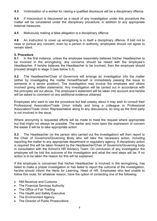**4.3** Victimisation of a worker for raising a qualified disclosure will be a disciplinary offence.

**4.4** If misconduct is discovered as a result of any investigation under this procedure the matter will be considered under the disciplinary procedure, in addition to any appropriate external measures.

**4.5** Maliciously making a false allegation is a disciplinary offence.

**4.6** An instruction to cover up wrongdoing is in itself a disciplinary offence. If told not to raise or pursue any concern, even by a person in authority, employees should not agree to remain silent.

## **5. Procedure**

**5.1** In the first instance, unless the employee reasonably believes his/her Headteacher to be involved in the wrongdoing, any concerns should be raised with the employee's Headteacher. If he/she believes the Headteacher to be involved, then the employee should proceed straight to stage 3 (see below 5.3).

**5.2** The Headteacher/Chair of Governors will arrange an investigation into the matter (either by investigating the matter himself/herself or immediately passing the issue to someone in a senior position). The investigation may involve the employee and others involved giving written statements. Any investigation will be carried out in accordance with the principles set out above. The employee's statement will be taken into account and he/she will be asked to comment on any additional evidence obtained.

Employees who want to use the procedure but feel uneasy about it may wish to consult their Professional Association/Trade Union initially and bring a colleague or Professional Association/Trade Union Representative along to any discussions, so long as the third party is not involved in the issue.

Where anonymity is requested efforts will be made to meet the request where appropriate but that might not always be possible. The earlier and more open the expression of concern the easier it will be to take appropriate action.

**5.3** The Headteacher (or the person who carried out the investigation) will then report to the Chair of Governors/Governing Body who will take the necessary action, including reporting the matter to any appropriate department or regulatory agency. If disciplinary action is required this will be taken forward by the Headteacher/Chair of Governors/Governing body in consultation with the School's HR Advisory Team. On conclusion of any investigation the employee will be told the outcome of the investigation and what the next steps will be. If no action is to be taken the reason for this will be explained.

If the employee is concerned that his/her Headteacher is involved in the wrongdoing, has failed to make a proper investigation or has failed to report the outcome of the investigation, he/she should inform the Herts for Learning, Head of HR. Employees who feel unable to follow this route, for whatever reason, have the option of contacting one of the following:

- HM Revenue and Customs
- The Financial Services Authority
- The Office of Fair Trading
- The Health and Safety Executive
- The Environment Agency
- The Director of Public Prosecutions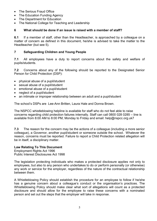- The Serious Fraud Office
- The Education Funding Agency
- The Department for Education
- The National College for Teaching and Leadership

# **6 What should be done if an issue is raised with a member of staff?**

**6.1** If a member of staff, other than the Headteacher, is approached by a colleague on a matter of concern as defined in this document, he/she is advised to take the matter to the Headteacher (but see 5).

# **7 Safeguarding Children and Young People**

**7.1** All employees have a duty to report concerns about the safety and welfare of pupils/students.

**7.2** Concerns about any of the following should be reported to the Designated Senior Person for Child Protection (DSP):

- physical abuse of a pupil/student
- sexual abuse of a pupil/student
- emotional abuse of a pupil/student
- neglect of a pupil/student
- an intimate or improper relationship between an adult and a pupil/student

The school's DSPs are Lee-Ann Britten, Laura Hale and Donna Brown.

The NSPCC whistleblowing helpline is available for staff who do not feel able to raise concerns regarding child protection failures internally. Staff can call 0800 028 0285 – line is available from 8:00 AM to 8:00 PM, Monday to Friday and email: help@nspcc.org.uk7

**7.3** The reason for the concern may be the actions of a colleague (including a more senior colleague), a Governor, another pupil/student or someone outside the school. Whatever the reason, concerns must be reported. Failure to report a Child Protection related allegation will be in itself, a disciplinary matter.

# **Law Relating To This Document**

Employment Rights Act 1996 Public Interest Disclosures Act 1998

The legislation protecting individuals who makes a protected disclosure applies not only to employees, but also to any person who undertakes to do or perform personally (or otherwise) any work or service for the employer, regardless of the nature of the contractual relationship between them.

A Whistleblowing Policy should establish the procedure for an employee to follow if he/she has a genuine concern about a colleague's conduct or the organisation's practices. The Whistleblowing Policy should make clear what sort of allegations will count as a protected disclosure and should allow for the employee to raise these concerns with a nominated person and set out the steps that the employer will take in response.